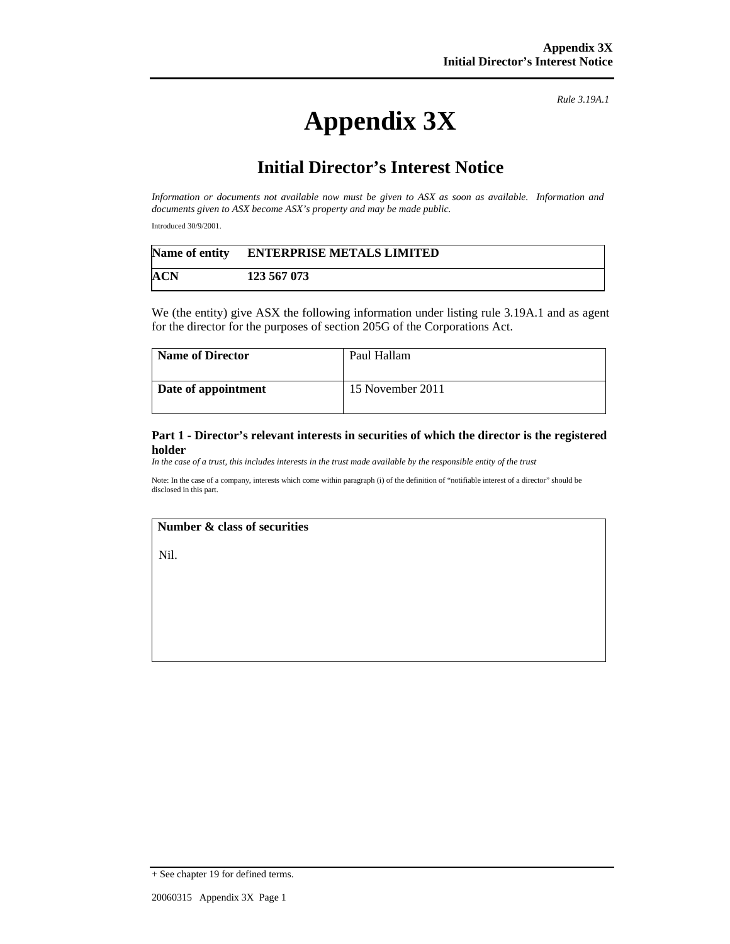*Rule 3.19A.1*

# **Appendix 3X**

## **Initial Director's Interest Notice**

*Information or documents not available now must be given to ASX as soon as available. Information and documents given to ASX become ASX's property and may be made public.* 

Introduced 30/9/2001.

| Name of entity | <b>ENTERPRISE METALS LIMITED</b> |  |
|----------------|----------------------------------|--|
| ACN            | 123 567 073                      |  |

We (the entity) give ASX the following information under listing rule 3.19A.1 and as agent for the director for the purposes of section 205G of the Corporations Act.

| Name of Director    | Paul Hallam      |
|---------------------|------------------|
| Date of appointment | 15 November 2011 |

**Part 1 - Director's relevant interests in securities of which the director is the registered holder** 

*In the case of a trust, this includes interests in the trust made available by the responsible entity of the trust*

Note: In the case of a company, interests which come within paragraph (i) of the definition of "notifiable interest of a director" should be disclosed in this part.

#### **Number & class of securities**

Nil.

<sup>+</sup> See chapter 19 for defined terms.